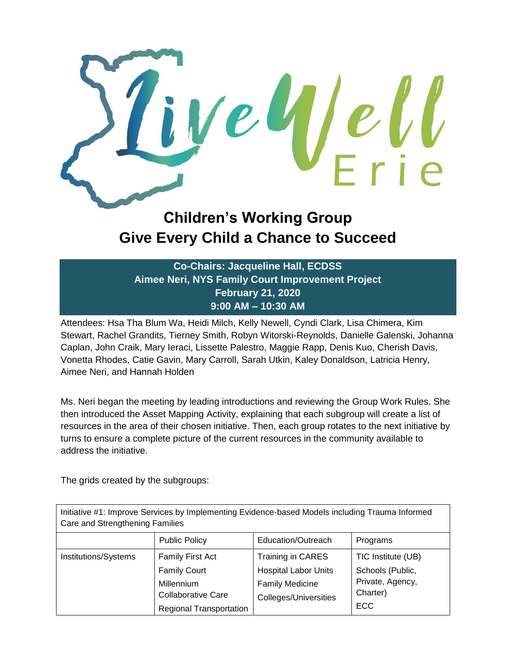

## **Children's Working Group Give Every Child a Chance to Succeed**

**Co-Chairs: Jacqueline Hall, ECDSS Aimee Neri, NYS Family Court Improvement Project February 21, 2020 9:00 AM – 10:30 AM**

Attendees: Hsa Tha Blum Wa, Heidi Milch, Kelly Newell, Cyndi Clark, Lisa Chimera, Kim Stewart, Rachel Grandits, Tierney Smith, Robyn Witorski-Reynolds, Danielle Galenski, Johanna Caplan, John Craik, Mary Ieraci, Lissette Palestro, Maggie Rapp, Denis Kuo, Cherish Davis, Vonetta Rhodes, Catie Gavin, Mary Carroll, Sarah Utkin, Kaley Donaldson, Latricia Henry, Aimee Neri, and Hannah Holden

Ms. Neri began the meeting by leading introductions and reviewing the Group Work Rules. She then introduced the Asset Mapping Activity, explaining that each subgroup will create a list of resources in the area of their chosen initiative. Then, each group rotates to the next initiative by turns to ensure a complete picture of the current resources in the community available to address the initiative.

The grids created by the subgroups:

| Initiative #1: Improve Services by Implementing Evidence-based Models including Trauma Informed<br>Care and Strengthening Families |                                                                                                                      |                                                                                                            |                                                                                      |
|------------------------------------------------------------------------------------------------------------------------------------|----------------------------------------------------------------------------------------------------------------------|------------------------------------------------------------------------------------------------------------|--------------------------------------------------------------------------------------|
|                                                                                                                                    | <b>Public Policy</b>                                                                                                 | Education/Outreach                                                                                         | Programs                                                                             |
| Institutions/Systems                                                                                                               | Family First Act<br><b>Family Court</b><br>Millennium<br><b>Collaborative Care</b><br><b>Regional Transportation</b> | Training in CARES<br><b>Hospital Labor Units</b><br><b>Family Medicine</b><br><b>Colleges/Universities</b> | TIC Institute (UB)<br>Schools (Public,<br>Private, Agency,<br>Charter)<br><b>ECC</b> |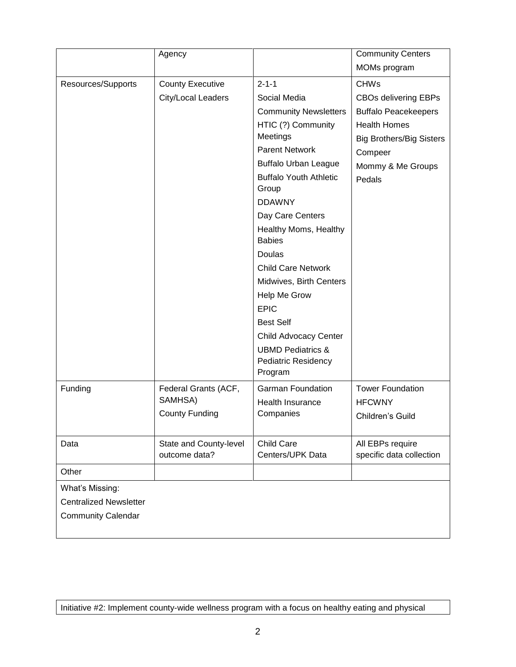|                               | Agency                                  |                                        | <b>Community Centers</b>                     |
|-------------------------------|-----------------------------------------|----------------------------------------|----------------------------------------------|
|                               |                                         |                                        | MOMs program                                 |
| Resources/Supports            | <b>County Executive</b>                 | $2 - 1 - 1$                            | <b>CHWs</b>                                  |
|                               | City/Local Leaders                      | Social Media                           | <b>CBOs delivering EBPs</b>                  |
|                               |                                         | <b>Community Newsletters</b>           | <b>Buffalo Peacekeepers</b>                  |
|                               |                                         | HTIC (?) Community                     | <b>Health Homes</b>                          |
|                               |                                         | Meetings                               | <b>Big Brothers/Big Sisters</b>              |
|                               |                                         | <b>Parent Network</b>                  | Compeer                                      |
|                               |                                         | <b>Buffalo Urban League</b>            | Mommy & Me Groups                            |
|                               |                                         | <b>Buffalo Youth Athletic</b><br>Group | Pedals                                       |
|                               |                                         | <b>DDAWNY</b>                          |                                              |
|                               |                                         | Day Care Centers                       |                                              |
|                               |                                         | Healthy Moms, Healthy<br><b>Babies</b> |                                              |
|                               |                                         | Doulas                                 |                                              |
|                               |                                         | <b>Child Care Network</b>              |                                              |
|                               |                                         | Midwives, Birth Centers                |                                              |
|                               |                                         | Help Me Grow                           |                                              |
|                               |                                         | <b>EPIC</b>                            |                                              |
|                               |                                         | <b>Best Self</b>                       |                                              |
|                               |                                         | <b>Child Advocacy Center</b>           |                                              |
|                               |                                         | <b>UBMD Pediatrics &amp;</b>           |                                              |
|                               |                                         | <b>Pediatric Residency</b>             |                                              |
|                               |                                         | Program                                |                                              |
| Funding                       | Federal Grants (ACF,                    | <b>Garman Foundation</b>               | <b>Tower Foundation</b>                      |
|                               | SAMHSA)                                 | Health Insurance                       | <b>HFCWNY</b>                                |
|                               | <b>County Funding</b>                   | Companies                              | Children's Guild                             |
|                               |                                         |                                        |                                              |
| Data                          | State and County-level<br>outcome data? | Child Care<br>Centers/UPK Data         | All EBPs require<br>specific data collection |
|                               |                                         |                                        |                                              |
| Other                         |                                         |                                        |                                              |
| What's Missing:               |                                         |                                        |                                              |
| <b>Centralized Newsletter</b> |                                         |                                        |                                              |
| <b>Community Calendar</b>     |                                         |                                        |                                              |
|                               |                                         |                                        |                                              |

Initiative #2: Implement county-wide wellness program with a focus on healthy eating and physical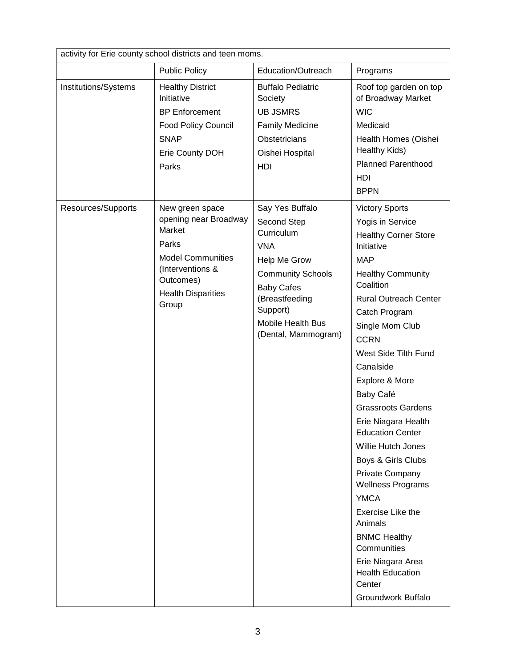| activity for Erie county school districts and teen moms. |                                                                                                                                                                |                                                                                                                                                                                                       |                                                                                                                                                                                                                                                                                                                                                                                                                                                                                                                                                                                                                                                     |
|----------------------------------------------------------|----------------------------------------------------------------------------------------------------------------------------------------------------------------|-------------------------------------------------------------------------------------------------------------------------------------------------------------------------------------------------------|-----------------------------------------------------------------------------------------------------------------------------------------------------------------------------------------------------------------------------------------------------------------------------------------------------------------------------------------------------------------------------------------------------------------------------------------------------------------------------------------------------------------------------------------------------------------------------------------------------------------------------------------------------|
|                                                          | <b>Public Policy</b>                                                                                                                                           | Education/Outreach                                                                                                                                                                                    | Programs                                                                                                                                                                                                                                                                                                                                                                                                                                                                                                                                                                                                                                            |
| Institutions/Systems                                     | <b>Healthy District</b><br>Initiative<br><b>BP Enforcement</b><br>Food Policy Council<br><b>SNAP</b><br>Erie County DOH<br>Parks                               | <b>Buffalo Pediatric</b><br>Society<br><b>UB JSMRS</b><br><b>Family Medicine</b><br><b>Obstetricians</b><br>Oishei Hospital<br>HDI                                                                    | Roof top garden on top<br>of Broadway Market<br><b>WIC</b><br>Medicaid<br>Health Homes (Oishei<br>Healthy Kids)<br><b>Planned Parenthood</b><br>HDI<br><b>BPPN</b>                                                                                                                                                                                                                                                                                                                                                                                                                                                                                  |
| Resources/Supports                                       | New green space<br>opening near Broadway<br>Market<br>Parks<br><b>Model Communities</b><br>(Interventions &<br>Outcomes)<br><b>Health Disparities</b><br>Group | Say Yes Buffalo<br>Second Step<br>Curriculum<br><b>VNA</b><br>Help Me Grow<br><b>Community Schools</b><br><b>Baby Cafes</b><br>(Breastfeeding<br>Support)<br>Mobile Health Bus<br>(Dental, Mammogram) | <b>Victory Sports</b><br>Yogis in Service<br><b>Healthy Corner Store</b><br>Initiative<br><b>MAP</b><br><b>Healthy Community</b><br>Coalition<br><b>Rural Outreach Center</b><br>Catch Program<br>Single Mom Club<br><b>CCRN</b><br>West Side Tilth Fund<br>Canalside<br>Explore & More<br>Baby Café<br><b>Grassroots Gardens</b><br>Erie Niagara Health<br><b>Education Center</b><br>Willie Hutch Jones<br>Boys & Girls Clubs<br>Private Company<br><b>Wellness Programs</b><br><b>YMCA</b><br>Exercise Like the<br>Animals<br><b>BNMC Healthy</b><br>Communities<br>Erie Niagara Area<br><b>Health Education</b><br>Center<br>Groundwork Buffalo |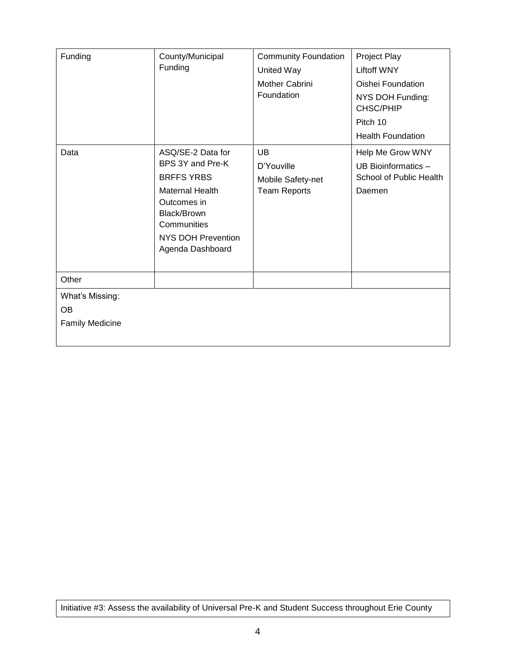| Funding                                                | County/Municipal<br>Funding                                                                                                                                                        | <b>Community Foundation</b><br>United Way<br>Mother Cabrini<br>Foundation | Project Play<br><b>Liftoff WNY</b><br>Oishei Foundation<br>NYS DOH Funding:<br>CHSC/PHIP<br>Pitch 10<br><b>Health Foundation</b> |
|--------------------------------------------------------|------------------------------------------------------------------------------------------------------------------------------------------------------------------------------------|---------------------------------------------------------------------------|----------------------------------------------------------------------------------------------------------------------------------|
| Data                                                   | ASQ/SE-2 Data for<br>BPS 3Y and Pre-K<br><b>BRFFS YRBS</b><br><b>Maternal Health</b><br>Outcomes in<br>Black/Brown<br>Communities<br><b>NYS DOH Prevention</b><br>Agenda Dashboard | <b>UB</b><br>D'Youville<br>Mobile Safety-net<br><b>Team Reports</b>       | Help Me Grow WNY<br>UB Bioinformatics -<br>School of Public Health<br>Daemen                                                     |
| Other                                                  |                                                                                                                                                                                    |                                                                           |                                                                                                                                  |
| What's Missing:<br><b>OB</b><br><b>Family Medicine</b> |                                                                                                                                                                                    |                                                                           |                                                                                                                                  |

Initiative #3: Assess the availability of Universal Pre-K and Student Success throughout Erie County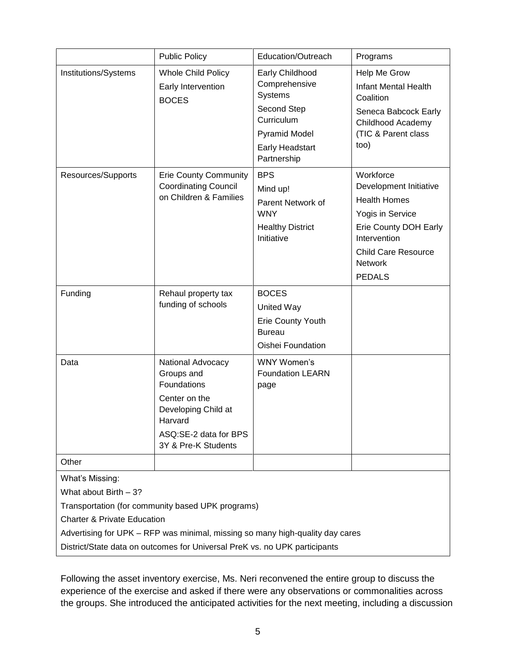|                                                                                                                                                                                                                                                                                                        | <b>Public Policy</b>                                                                                                                              | Education/Outreach                                                                                                                        | Programs                                                                                                                                                                                 |
|--------------------------------------------------------------------------------------------------------------------------------------------------------------------------------------------------------------------------------------------------------------------------------------------------------|---------------------------------------------------------------------------------------------------------------------------------------------------|-------------------------------------------------------------------------------------------------------------------------------------------|------------------------------------------------------------------------------------------------------------------------------------------------------------------------------------------|
| Institutions/Systems                                                                                                                                                                                                                                                                                   | <b>Whole Child Policy</b><br>Early Intervention<br><b>BOCES</b>                                                                                   | Early Childhood<br>Comprehensive<br>Systems<br>Second Step<br>Curriculum<br><b>Pyramid Model</b><br><b>Early Headstart</b><br>Partnership | Help Me Grow<br><b>Infant Mental Health</b><br>Coalition<br>Seneca Babcock Early<br>Childhood Academy<br>(TIC & Parent class<br>too)                                                     |
| Resources/Supports                                                                                                                                                                                                                                                                                     | <b>Erie County Community</b><br><b>Coordinating Council</b><br>on Children & Families                                                             | <b>BPS</b><br>Mind up!<br>Parent Network of<br><b>WNY</b><br><b>Healthy District</b><br>Initiative                                        | Workforce<br>Development Initiative<br><b>Health Homes</b><br>Yogis in Service<br>Erie County DOH Early<br>Intervention<br><b>Child Care Resource</b><br><b>Network</b><br><b>PEDALS</b> |
| Funding                                                                                                                                                                                                                                                                                                | Rehaul property tax<br>funding of schools                                                                                                         | <b>BOCES</b><br>United Way<br>Erie County Youth<br><b>Bureau</b><br>Oishei Foundation                                                     |                                                                                                                                                                                          |
| Data                                                                                                                                                                                                                                                                                                   | National Advocacy<br>Groups and<br>Foundations<br>Center on the<br>Developing Child at<br>Harvard<br>ASQ:SE-2 data for BPS<br>3Y & Pre-K Students | WNY Women's<br><b>Foundation LEARN</b><br>page                                                                                            |                                                                                                                                                                                          |
| Other                                                                                                                                                                                                                                                                                                  |                                                                                                                                                   |                                                                                                                                           |                                                                                                                                                                                          |
| What's Missing:<br>What about Birth - 3?<br>Transportation (for community based UPK programs)<br><b>Charter &amp; Private Education</b><br>Advertising for UPK – RFP was minimal, missing so many high-quality day cares<br>District/State data on outcomes for Universal PreK vs. no UPK participants |                                                                                                                                                   |                                                                                                                                           |                                                                                                                                                                                          |

Following the asset inventory exercise, Ms. Neri reconvened the entire group to discuss the experience of the exercise and asked if there were any observations or commonalities across the groups. She introduced the anticipated activities for the next meeting, including a discussion